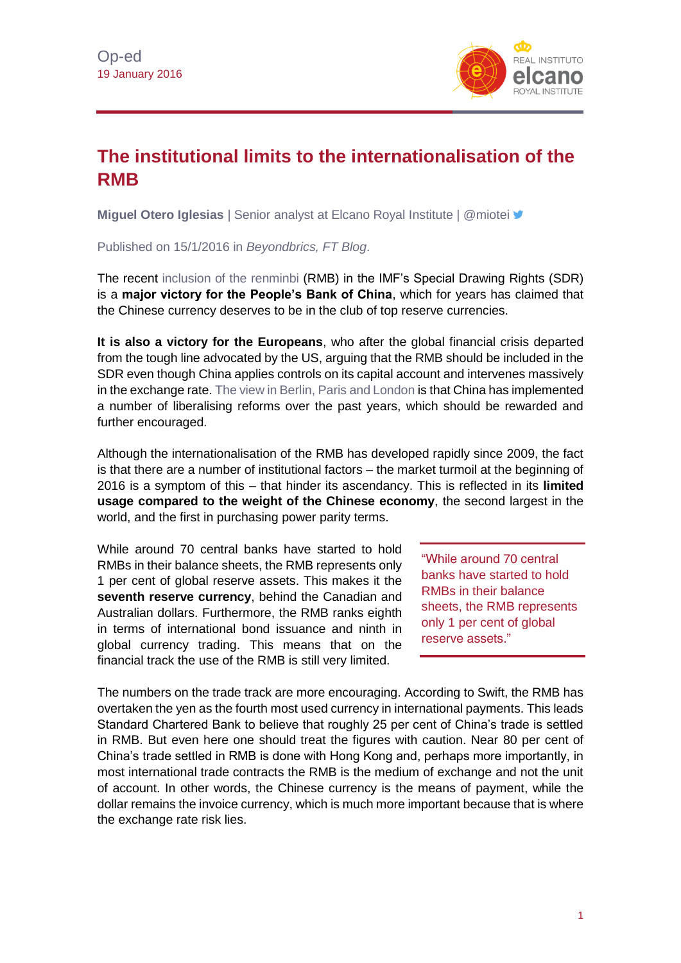

## **The institutional limits to the internationalisation of the RMB**

**Miguel Otero Iglesias** | Senior analyst at Elcano Royal Institute | @miotei

Published on 15/1/2016 in *Beyondbrics, FT Blog*.

The recent [inclusion of the renminbi](http://www.imf.org/external/pubs/ft/survey/so/2015/new120115a.htm) (RMB) in the IMF's Special Drawing Rights (SDR) is a **major victory for the People's Bank of China**, which for years has claimed that the Chinese currency deserves to be in the club of top reserve currencies.

**It is also a victory for the Europeans**, who after the global financial crisis departed from the tough line advocated by the US, arguing that the RMB should be included in the SDR even though China applies controls on its capital account and intervenes massively in the exchange rate. [The view in Berlin, Paris and London](http://www.blog.rielcano.org/en/should-the-eu-grant-china-market-economy-status-machiavellian-approach/) is that China has implemented a number of liberalising reforms over the past years, which should be rewarded and further encouraged.

Although the internationalisation of the RMB has developed rapidly since 2009, the fact is that there are a number of institutional factors – the market turmoil at the beginning of 2016 is a symptom of this – that hinder its ascendancy. This is reflected in its **limited usage compared to the weight of the Chinese economy**, the second largest in the world, and the first in purchasing power parity terms.

While around 70 central banks have started to hold RMBs in their balance sheets, the RMB represents only 1 per cent of global reserve assets. This makes it the **seventh reserve currency**, behind the Canadian and Australian dollars. Furthermore, the RMB ranks eighth in terms of international bond issuance and ninth in global currency trading. This means that on the financial track the use of the RMB is still very limited.

"While around 70 central banks have started to hold RMBs in their balance sheets, the RMB represents only 1 per cent of global reserve assets."

The numbers on the trade track are more encouraging. According to Swift, the RMB has overtaken the yen as the fourth most used currency in international payments. This leads Standard Chartered Bank to believe that roughly 25 per cent of China's trade is settled in RMB. But even here one should treat the figures with caution. Near 80 per cent of China's trade settled in RMB is done with Hong Kong and, perhaps more importantly, in most international trade contracts the RMB is the medium of exchange and not the unit of account. In other words, the Chinese currency is the means of payment, while the dollar remains the invoice currency, which is much more important because that is where the exchange rate risk lies.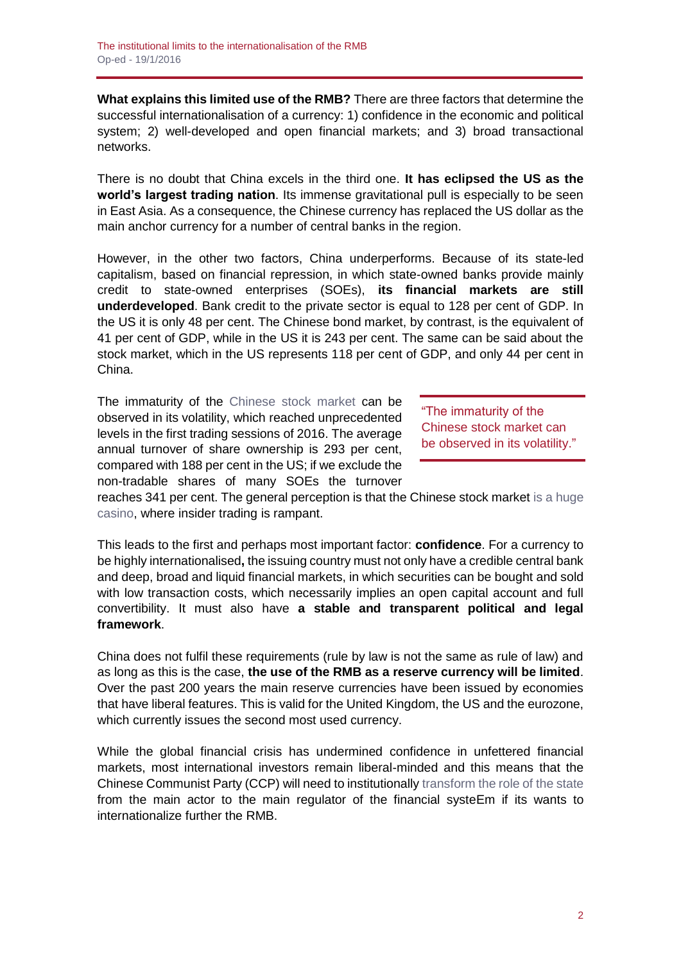**What explains this limited use of the RMB?** There are three factors that determine the successful internationalisation of a currency: 1) confidence in the economic and political system; 2) well-developed and open financial markets; and 3) broad transactional networks.

There is no doubt that China excels in the third one. **It has eclipsed the US as the world's largest trading nation**. Its immense gravitational pull is especially to be seen in East Asia. As a consequence, the Chinese currency has replaced the US dollar as the main anchor currency for a number of central banks in the region.

However, in the other two factors, China underperforms. Because of its state-led capitalism, based on financial repression, in which state-owned banks provide mainly credit to state-owned enterprises (SOEs), **its financial markets are still underdeveloped**. Bank credit to the private sector is equal to 128 per cent of GDP. In the US it is only 48 per cent. The Chinese bond market, by contrast, is the equivalent of 41 per cent of GDP, while in the US it is 243 per cent. The same can be said about the stock market, which in the US represents 118 per cent of GDP, and only 44 per cent in China.

The immaturity of the [Chinese stock market](http://www.realinstitutoelcano.org/wps/portal/web/rielcano_en/contenido?WCM_GLOBAL_CONTEXT=/elcano/elcano_in/zonas_in/ari42-2015-garciaherrero-stock-market-collapse-exchange-rate-depreciation-what-next-china) can be observed in its volatility, which reached unprecedented levels in the first trading sessions of 2016. The average annual turnover of share ownership is 293 per cent, compared with 188 per cent in the US; if we exclude the non-tradable shares of many SOEs the turnover

"The immaturity of the Chinese stock market can be observed in its volatility."

reaches 341 per cent. The general perception is that the Chinese stock market [is a huge](http://www.realinstitutoelcano.org/wps/portal/web/rielcano_es/contenido?WCM_GLOBAL_CONTEXT=/elcano/elcano_es/zonas_es/oteroiglesias-casino-bolsa-china-salvese-quien-pueda)  [casino,](http://www.realinstitutoelcano.org/wps/portal/web/rielcano_es/contenido?WCM_GLOBAL_CONTEXT=/elcano/elcano_es/zonas_es/oteroiglesias-casino-bolsa-china-salvese-quien-pueda) where insider trading is rampant.

This leads to the first and perhaps most important factor: **confidence**. For a currency to be highly internationalised**,** the issuing country must not only have a credible central bank and deep, broad and liquid financial markets, in which securities can be bought and sold with low transaction costs, which necessarily implies an open capital account and full convertibility. It must also have **a stable and transparent political and legal framework**.

China does not fulfil these requirements (rule by law is not the same as rule of law) and as long as this is the case, **the use of the RMB as a reserve currency will be limited**. Over the past 200 years the main reserve currencies have been issued by economies that have liberal features. This is valid for the United Kingdom, the US and the eurozone, which currently issues the second most used currency.

While the global financial crisis has undermined confidence in unfettered financial markets, most international investors remain liberal-minded and this means that the Chinese Communist Party (CCP) will need to institutionally [transform the role of the state](http://www.realinstitutoelcano.org/wps/portal/web/rielcano_en/contenido?WCM_GLOBAL_CONTEXT=/elcano/elcano_in/zonas_in/ari592014-oteroiglesias-is-china-rebalancing-yes-but-with-chinese-characteristics) from the main actor to the main regulator of the financial systeEm if its wants to internationalize further the RMB.